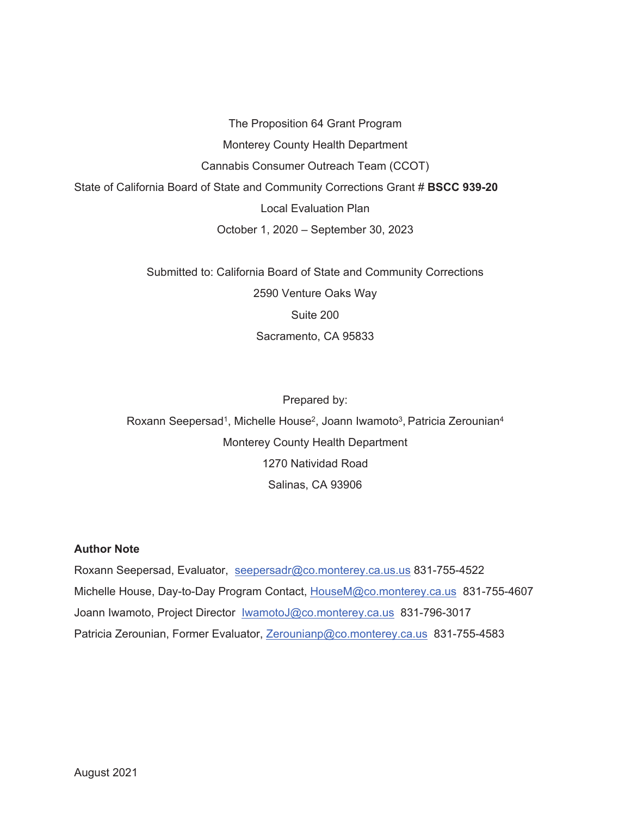The Proposition 64 Grant Program Monterey County Health Department Cannabis Consumer Outreach Team (CCOT) State of California Board of State and Community Corrections Grant # **BSCC 939-20** Local Evaluation Plan October 1, 2020 – September 30, 2023

> Submitted to: California Board of State and Community Corrections 2590 Venture Oaks Way Suite 200 Sacramento, CA 95833

Prepared by: Roxann Seepersad<sup>1</sup>, Michelle House<sup>2</sup>, Joann Iwamoto<sup>3</sup>, Patricia Zerounian<sup>4</sup> Monterey County Health Department 1270 Natividad Road Salinas, CA 93906

# **Author Note**

Roxann Seepersad, Evaluator, seepersadr@co.monterey.ca.us.us 831-755-4522 Michelle House, Day-to-Day Program Contact, HouseM@co.monterey.ca.us 831-755-4607 Joann Iwamoto, Project Director IwamotoJ@co.monterey.ca.us 831-796-3017 Patricia Zerounian, Former Evaluator, Zerounianp@co.monterey.ca.us 831-755-4583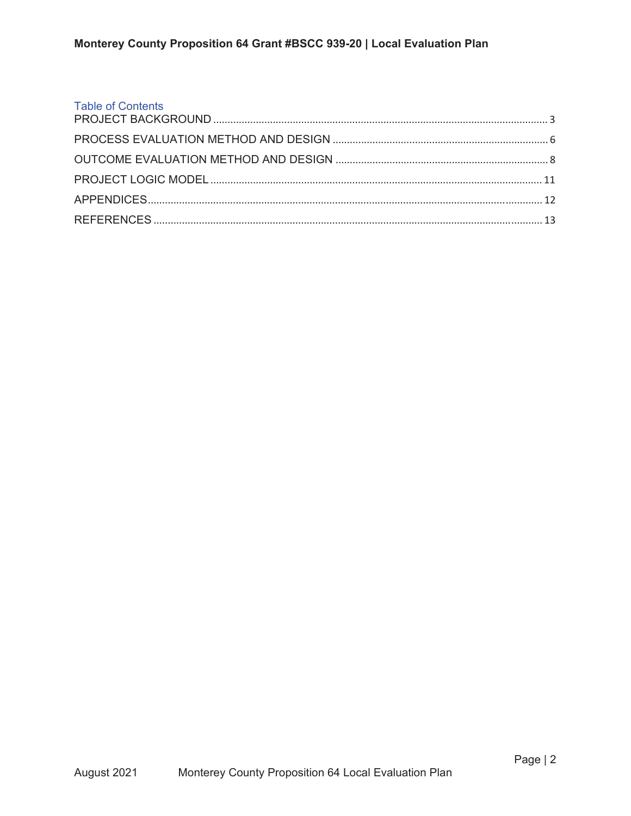| <b>Table of Contents</b> |  |
|--------------------------|--|
|                          |  |
|                          |  |
|                          |  |
|                          |  |
|                          |  |
|                          |  |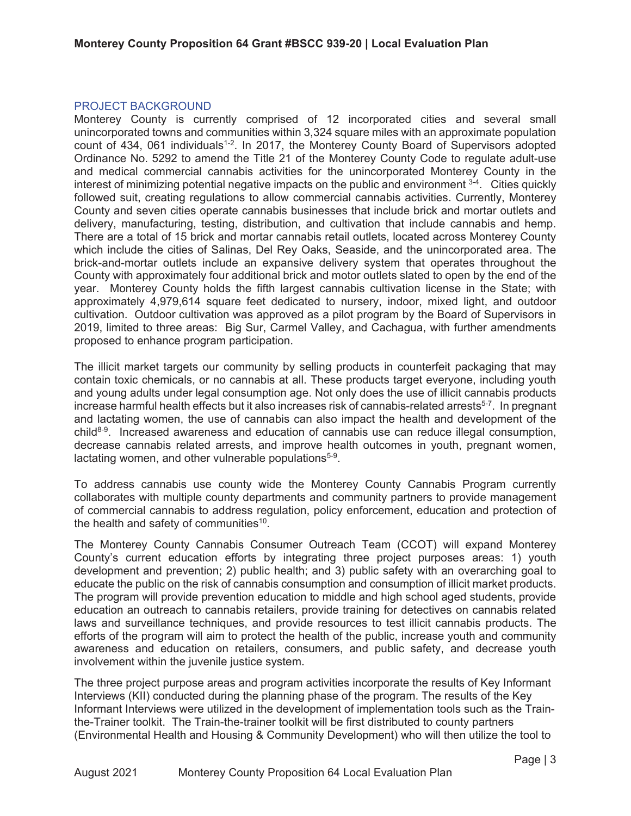#### PROJECT BACKGROUND

Monterey County is currently comprised of 12 incorporated cities and several small unincorporated towns and communities within 3,324 square miles with an approximate population count of 434, 061 individuals<sup>1-2</sup>. In 2017, the Monterey County Board of Supervisors adopted Ordinance No. 5292 to amend the Title 21 of the Monterey County Code to regulate adult-use and medical commercial cannabis activities for the unincorporated Monterey County in the interest of minimizing potential negative impacts on the public and environment  $3-4$ . Cities quickly followed suit, creating regulations to allow commercial cannabis activities. Currently, Monterey County and seven cities operate cannabis businesses that include brick and mortar outlets and delivery, manufacturing, testing, distribution, and cultivation that include cannabis and hemp. There are a total of 15 brick and mortar cannabis retail outlets, located across Monterey County which include the cities of Salinas, Del Rey Oaks, Seaside, and the unincorporated area. The brick-and-mortar outlets include an expansive delivery system that operates throughout the County with approximately four additional brick and motor outlets slated to open by the end of the year. Monterey County holds the fifth largest cannabis cultivation license in the State; with approximately 4,979,614 square feet dedicated to nursery, indoor, mixed light, and outdoor cultivation. Outdoor cultivation was approved as a pilot program by the Board of Supervisors in 2019, limited to three areas: Big Sur, Carmel Valley, and Cachagua, with further amendments proposed to enhance program participation.

The illicit market targets our community by selling products in counterfeit packaging that may contain toxic chemicals, or no cannabis at all. These products target everyone, including youth and young adults under legal consumption age. Not only does the use of illicit cannabis products increase harmful health effects but it also increases risk of cannabis-related arrests<sup>5-7</sup>. In pregnant and lactating women, the use of cannabis can also impact the health and development of the child8-9. Increased awareness and education of cannabis use can reduce illegal consumption, decrease cannabis related arrests, and improve health outcomes in youth, pregnant women, lactating women, and other vulnerable populations<sup>5-9</sup>.

To address cannabis use county wide the Monterey County Cannabis Program currently collaborates with multiple county departments and community partners to provide management of commercial cannabis to address regulation, policy enforcement, education and protection of the health and safety of communities<sup>10</sup>.

The Monterey County Cannabis Consumer Outreach Team (CCOT) will expand Monterey County's current education efforts by integrating three project purposes areas: 1) youth development and prevention; 2) public health; and 3) public safety with an overarching goal to educate the public on the risk of cannabis consumption and consumption of illicit market products. The program will provide prevention education to middle and high school aged students, provide education an outreach to cannabis retailers, provide training for detectives on cannabis related laws and surveillance techniques, and provide resources to test illicit cannabis products. The efforts of the program will aim to protect the health of the public, increase youth and community awareness and education on retailers, consumers, and public safety, and decrease youth involvement within the juvenile justice system.

The three project purpose areas and program activities incorporate the results of Key Informant Interviews (KII) conducted during the planning phase of the program. The results of the Key Informant Interviews were utilized in the development of implementation tools such as the Trainthe-Trainer toolkit. The Train-the-trainer toolkit will be first distributed to county partners (Environmental Health and Housing & Community Development) who will then utilize the tool to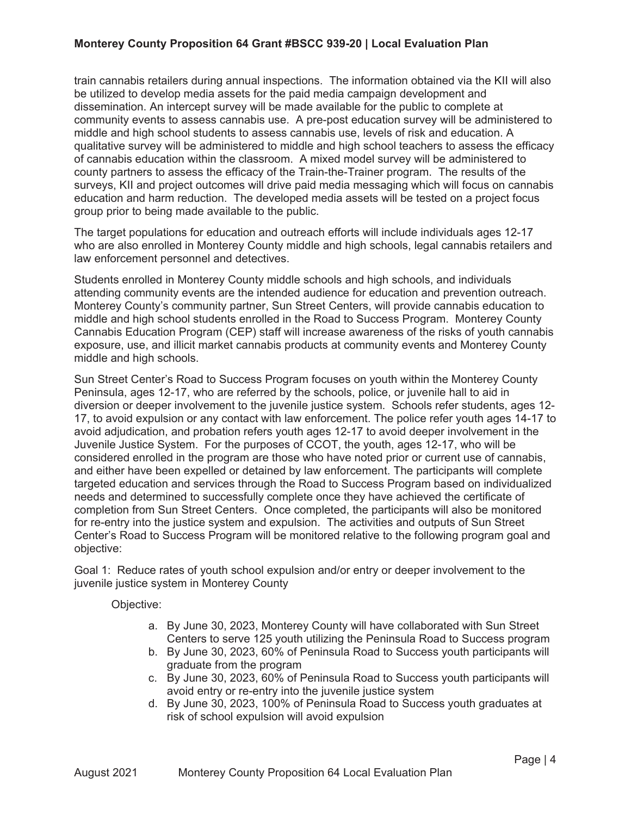train cannabis retailers during annual inspections. The information obtained via the KII will also be utilized to develop media assets for the paid media campaign development and dissemination. An intercept survey will be made available for the public to complete at community events to assess cannabis use. A pre-post education survey will be administered to middle and high school students to assess cannabis use, levels of risk and education. A qualitative survey will be administered to middle and high school teachers to assess the efficacy of cannabis education within the classroom. A mixed model survey will be administered to county partners to assess the efficacy of the Train-the-Trainer program. The results of the surveys, KII and project outcomes will drive paid media messaging which will focus on cannabis education and harm reduction. The developed media assets will be tested on a project focus group prior to being made available to the public.

The target populations for education and outreach efforts will include individuals ages 12-17 who are also enrolled in Monterey County middle and high schools, legal cannabis retailers and law enforcement personnel and detectives.

Students enrolled in Monterey County middle schools and high schools, and individuals attending community events are the intended audience for education and prevention outreach. Monterey County's community partner, Sun Street Centers, will provide cannabis education to middle and high school students enrolled in the Road to Success Program. Monterey County Cannabis Education Program (CEP) staff will increase awareness of the risks of youth cannabis exposure, use, and illicit market cannabis products at community events and Monterey County middle and high schools.

Sun Street Center's Road to Success Program focuses on youth within the Monterey County Peninsula, ages 12-17, who are referred by the schools, police, or juvenile hall to aid in diversion or deeper involvement to the juvenile justice system. Schools refer students, ages 12- 17, to avoid expulsion or any contact with law enforcement. The police refer youth ages 14-17 to avoid adjudication, and probation refers youth ages 12-17 to avoid deeper involvement in the Juvenile Justice System. For the purposes of CCOT, the youth, ages 12-17, who will be considered enrolled in the program are those who have noted prior or current use of cannabis, and either have been expelled or detained by law enforcement. The participants will complete targeted education and services through the Road to Success Program based on individualized needs and determined to successfully complete once they have achieved the certificate of completion from Sun Street Centers. Once completed, the participants will also be monitored for re-entry into the justice system and expulsion. The activities and outputs of Sun Street Center's Road to Success Program will be monitored relative to the following program goal and objective:

Goal 1: Reduce rates of youth school expulsion and/or entry or deeper involvement to the juvenile justice system in Monterey County

Objective:

- a. By June 30, 2023, Monterey County will have collaborated with Sun Street Centers to serve 125 youth utilizing the Peninsula Road to Success program
- b. By June 30, 2023, 60% of Peninsula Road to Success youth participants will graduate from the program
- c. By June 30, 2023, 60% of Peninsula Road to Success youth participants will avoid entry or re-entry into the juvenile justice system
- d. By June 30, 2023, 100% of Peninsula Road to Success youth graduates at risk of school expulsion will avoid expulsion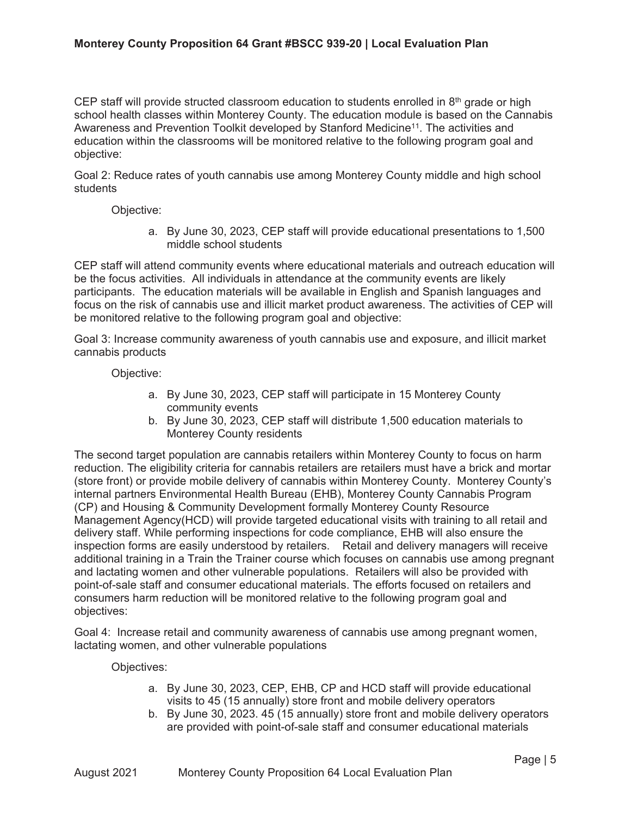CEP staff will provide structed classroom education to students enrolled in  $8<sup>th</sup>$  grade or high school health classes within Monterey County. The education module is based on the Cannabis Awareness and Prevention Toolkit developed by Stanford Medicine<sup>11</sup>. The activities and education within the classrooms will be monitored relative to the following program goal and objective:

Goal 2: Reduce rates of youth cannabis use among Monterey County middle and high school students

Objective:

a. By June 30, 2023, CEP staff will provide educational presentations to 1,500 middle school students

CEP staff will attend community events where educational materials and outreach education will be the focus activities. All individuals in attendance at the community events are likely participants. The education materials will be available in English and Spanish languages and focus on the risk of cannabis use and illicit market product awareness. The activities of CEP will be monitored relative to the following program goal and objective:

Goal 3: Increase community awareness of youth cannabis use and exposure, and illicit market cannabis products

## Objective:

- a. By June 30, 2023, CEP staff will participate in 15 Monterey County community events
- b. By June 30, 2023, CEP staff will distribute 1,500 education materials to Monterey County residents

The second target population are cannabis retailers within Monterey County to focus on harm reduction. The eligibility criteria for cannabis retailers are retailers must have a brick and mortar (store front) or provide mobile delivery of cannabis within Monterey County. Monterey County's internal partners Environmental Health Bureau (EHB), Monterey County Cannabis Program (CP) and Housing & Community Development formally Monterey County Resource Management Agency(HCD) will provide targeted educational visits with training to all retail and delivery staff. While performing inspections for code compliance, EHB will also ensure the inspection forms are easily understood by retailers. Retail and delivery managers will receive additional training in a Train the Trainer course which focuses on cannabis use among pregnant and lactating women and other vulnerable populations. Retailers will also be provided with point-of-sale staff and consumer educational materials. The efforts focused on retailers and consumers harm reduction will be monitored relative to the following program goal and objectives:

Goal 4: Increase retail and community awareness of cannabis use among pregnant women, lactating women, and other vulnerable populations

Objectives:

- a. By June 30, 2023, CEP, EHB, CP and HCD staff will provide educational visits to 45 (15 annually) store front and mobile delivery operators
- b. By June 30, 2023. 45 (15 annually) store front and mobile delivery operators are provided with point-of-sale staff and consumer educational materials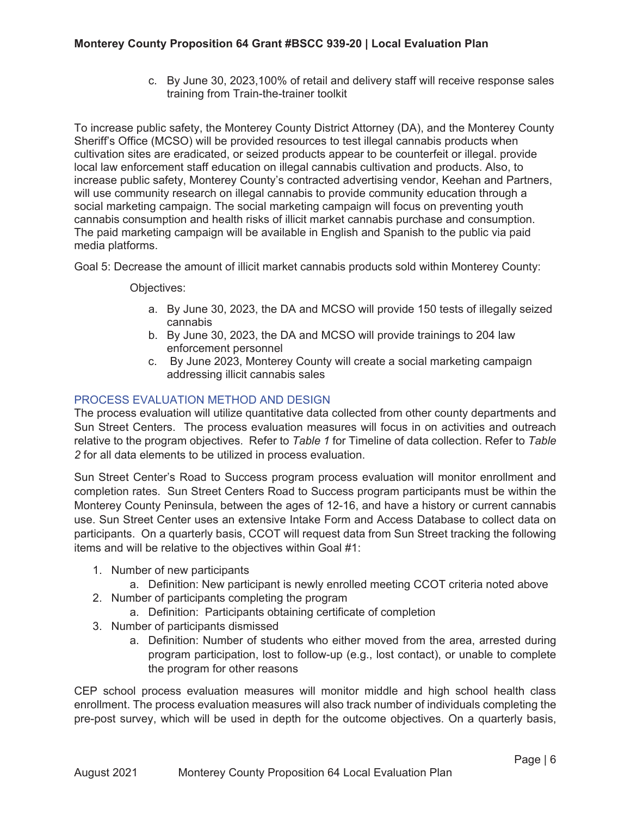c. By June 30, 2023,100% of retail and delivery staff will receive response sales training from Train-the-trainer toolkit

To increase public safety, the Monterey County District Attorney (DA), and the Monterey County Sheriff's Office (MCSO) will be provided resources to test illegal cannabis products when cultivation sites are eradicated, or seized products appear to be counterfeit or illegal. provide local law enforcement staff education on illegal cannabis cultivation and products. Also, to increase public safety, Monterey County's contracted advertising vendor, Keehan and Partners, will use community research on illegal cannabis to provide community education through a social marketing campaign. The social marketing campaign will focus on preventing youth cannabis consumption and health risks of illicit market cannabis purchase and consumption. The paid marketing campaign will be available in English and Spanish to the public via paid media platforms.

Goal 5: Decrease the amount of illicit market cannabis products sold within Monterey County:

Objectives:

- a. By June 30, 2023, the DA and MCSO will provide 150 tests of illegally seized cannabis
- b. By June 30, 2023, the DA and MCSO will provide trainings to 204 law enforcement personnel
- c. By June 2023, Monterey County will create a social marketing campaign addressing illicit cannabis sales

# PROCESS EVALUATION METHOD AND DESIGN

The process evaluation will utilize quantitative data collected from other county departments and Sun Street Centers. The process evaluation measures will focus in on activities and outreach relative to the program objectives. Refer to *Table 1* for Timeline of data collection. Refer to *Table 2* for all data elements to be utilized in process evaluation.

Sun Street Center's Road to Success program process evaluation will monitor enrollment and completion rates. Sun Street Centers Road to Success program participants must be within the Monterey County Peninsula, between the ages of 12-16, and have a history or current cannabis use. Sun Street Center uses an extensive Intake Form and Access Database to collect data on participants. On a quarterly basis, CCOT will request data from Sun Street tracking the following items and will be relative to the objectives within Goal #1:

- 1. Number of new participants
	- a. Definition: New participant is newly enrolled meeting CCOT criteria noted above
- 2. Number of participants completing the program
	- a. Definition: Participants obtaining certificate of completion
- 3. Number of participants dismissed
	- a. Definition: Number of students who either moved from the area, arrested during program participation, lost to follow-up (e.g., lost contact), or unable to complete the program for other reasons

CEP school process evaluation measures will monitor middle and high school health class enrollment. The process evaluation measures will also track number of individuals completing the pre-post survey, which will be used in depth for the outcome objectives. On a quarterly basis,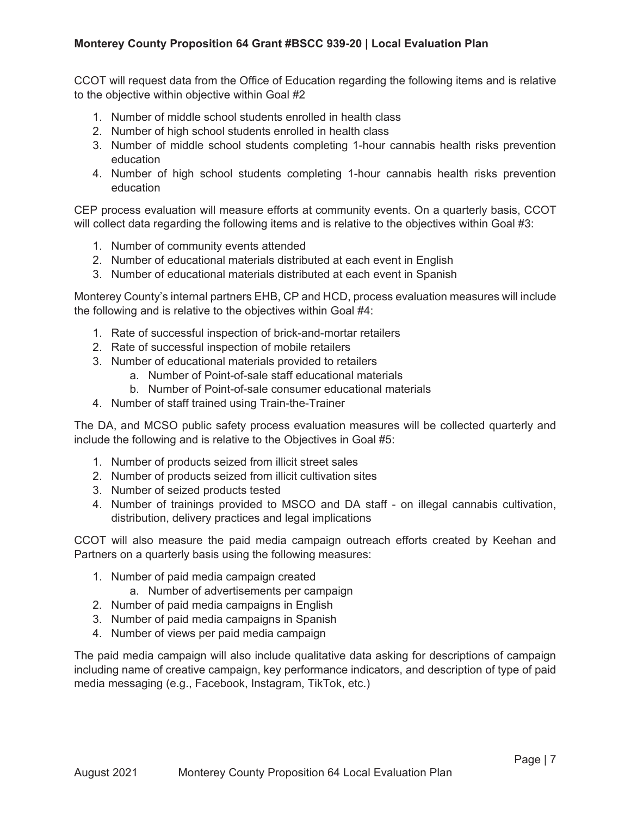CCOT will request data from the Office of Education regarding the following items and is relative to the objective within objective within Goal #2

- 1. Number of middle school students enrolled in health class
- 2. Number of high school students enrolled in health class
- 3. Number of middle school students completing 1-hour cannabis health risks prevention education
- 4. Number of high school students completing 1-hour cannabis health risks prevention education

CEP process evaluation will measure efforts at community events. On a quarterly basis, CCOT will collect data regarding the following items and is relative to the objectives within Goal #3:

- 1. Number of community events attended
- 2. Number of educational materials distributed at each event in English
- 3. Number of educational materials distributed at each event in Spanish

Monterey County's internal partners EHB, CP and HCD, process evaluation measures will include the following and is relative to the objectives within Goal #4:

- 1. Rate of successful inspection of brick-and-mortar retailers
- 2. Rate of successful inspection of mobile retailers
- 3. Number of educational materials provided to retailers
	- a. Number of Point-of-sale staff educational materials
	- b. Number of Point-of-sale consumer educational materials
- 4. Number of staff trained using Train-the-Trainer

The DA, and MCSO public safety process evaluation measures will be collected quarterly and include the following and is relative to the Objectives in Goal #5:

- 1. Number of products seized from illicit street sales
- 2. Number of products seized from illicit cultivation sites
- 3. Number of seized products tested
- 4. Number of trainings provided to MSCO and DA staff on illegal cannabis cultivation, distribution, delivery practices and legal implications

CCOT will also measure the paid media campaign outreach efforts created by Keehan and Partners on a quarterly basis using the following measures:

- 1. Number of paid media campaign created
	- a. Number of advertisements per campaign
- 2. Number of paid media campaigns in English
- 3. Number of paid media campaigns in Spanish
- 4. Number of views per paid media campaign

The paid media campaign will also include qualitative data asking for descriptions of campaign including name of creative campaign, key performance indicators, and description of type of paid media messaging (e.g., Facebook, Instagram, TikTok, etc.)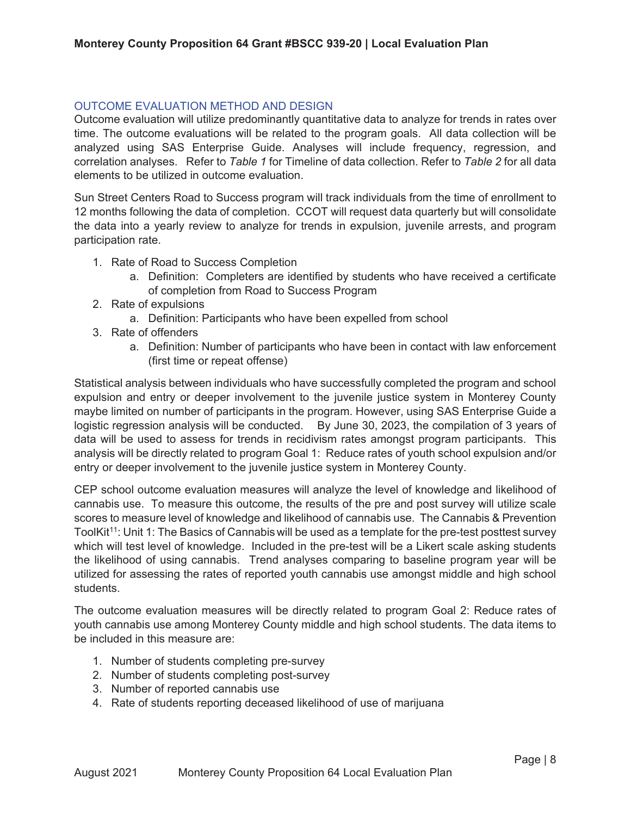# OUTCOME EVALUATION METHOD AND DESIGN

Outcome evaluation will utilize predominantly quantitative data to analyze for trends in rates over time. The outcome evaluations will be related to the program goals. All data collection will be analyzed using SAS Enterprise Guide. Analyses will include frequency, regression, and correlation analyses. Refer to *Table 1* for Timeline of data collection. Refer to *Table 2* for all data elements to be utilized in outcome evaluation.

Sun Street Centers Road to Success program will track individuals from the time of enrollment to 12 months following the data of completion. CCOT will request data quarterly but will consolidate the data into a yearly review to analyze for trends in expulsion, juvenile arrests, and program participation rate.

- 1. Rate of Road to Success Completion
	- a. Definition: Completers are identified by students who have received a certificate of completion from Road to Success Program
- 2. Rate of expulsions
	- a. Definition: Participants who have been expelled from school
- 3. Rate of offenders
	- a. Definition: Number of participants who have been in contact with law enforcement (first time or repeat offense)

Statistical analysis between individuals who have successfully completed the program and school expulsion and entry or deeper involvement to the juvenile justice system in Monterey County maybe limited on number of participants in the program. However, using SAS Enterprise Guide a logistic regression analysis will be conducted. By June 30, 2023, the compilation of 3 years of data will be used to assess for trends in recidivism rates amongst program participants. This analysis will be directly related to program Goal 1: Reduce rates of youth school expulsion and/or entry or deeper involvement to the juvenile justice system in Monterey County.

CEP school outcome evaluation measures will analyze the level of knowledge and likelihood of cannabis use. To measure this outcome, the results of the pre and post survey will utilize scale scores to measure level of knowledge and likelihood of cannabis use. The Cannabis & Prevention ToolKit<sup>11</sup>: Unit 1: The Basics of Cannabis will be used as a template for the pre-test posttest survey which will test level of knowledge. Included in the pre-test will be a Likert scale asking students the likelihood of using cannabis. Trend analyses comparing to baseline program year will be utilized for assessing the rates of reported youth cannabis use amongst middle and high school students.

The outcome evaluation measures will be directly related to program Goal 2: Reduce rates of youth cannabis use among Monterey County middle and high school students. The data items to be included in this measure are:

- 1. Number of students completing pre-survey
- 2. Number of students completing post-survey
- 3. Number of reported cannabis use
- 4. Rate of students reporting deceased likelihood of use of marijuana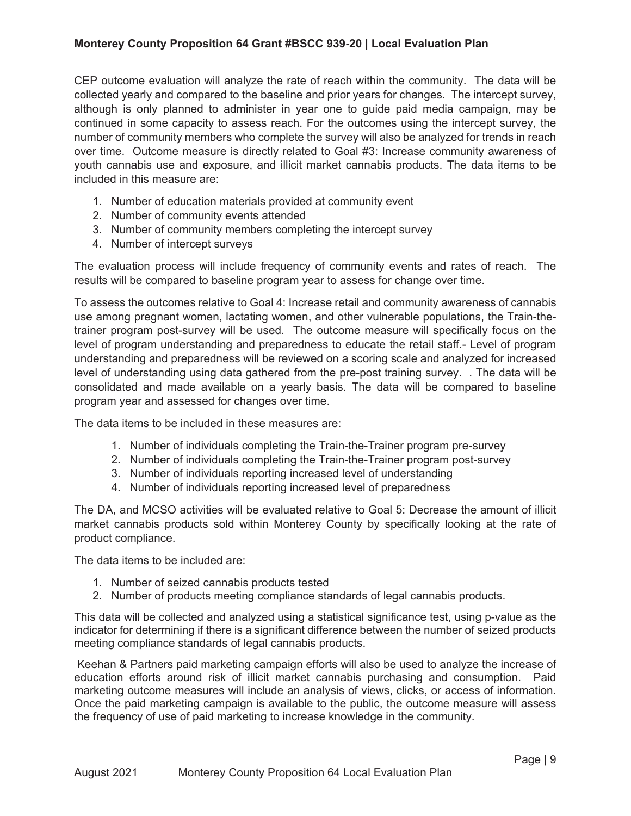CEP outcome evaluation will analyze the rate of reach within the community. The data will be collected yearly and compared to the baseline and prior years for changes. The intercept survey, although is only planned to administer in year one to guide paid media campaign, may be continued in some capacity to assess reach. For the outcomes using the intercept survey, the number of community members who complete the survey will also be analyzed for trends in reach over time. Outcome measure is directly related to Goal #3: Increase community awareness of youth cannabis use and exposure, and illicit market cannabis products. The data items to be included in this measure are:

- 1. Number of education materials provided at community event
- 2. Number of community events attended
- 3. Number of community members completing the intercept survey
- 4. Number of intercept surveys

The evaluation process will include frequency of community events and rates of reach. The results will be compared to baseline program year to assess for change over time.

To assess the outcomes relative to Goal 4: Increase retail and community awareness of cannabis use among pregnant women, lactating women, and other vulnerable populations, the Train-thetrainer program post-survey will be used. The outcome measure will specifically focus on the level of program understanding and preparedness to educate the retail staff.- Level of program understanding and preparedness will be reviewed on a scoring scale and analyzed for increased level of understanding using data gathered from the pre-post training survey. . The data will be consolidated and made available on a yearly basis. The data will be compared to baseline program year and assessed for changes over time.

The data items to be included in these measures are:

- 1. Number of individuals completing the Train-the-Trainer program pre-survey
- 2. Number of individuals completing the Train-the-Trainer program post-survey
- 3. Number of individuals reporting increased level of understanding
- 4. Number of individuals reporting increased level of preparedness

The DA, and MCSO activities will be evaluated relative to Goal 5: Decrease the amount of illicit market cannabis products sold within Monterey County by specifically looking at the rate of product compliance.

The data items to be included are:

- 1. Number of seized cannabis products tested
- 2. Number of products meeting compliance standards of legal cannabis products.

This data will be collected and analyzed using a statistical significance test, using p-value as the indicator for determining if there is a significant difference between the number of seized products meeting compliance standards of legal cannabis products.

 Keehan & Partners paid marketing campaign efforts will also be used to analyze the increase of education efforts around risk of illicit market cannabis purchasing and consumption. Paid marketing outcome measures will include an analysis of views, clicks, or access of information. Once the paid marketing campaign is available to the public, the outcome measure will assess the frequency of use of paid marketing to increase knowledge in the community.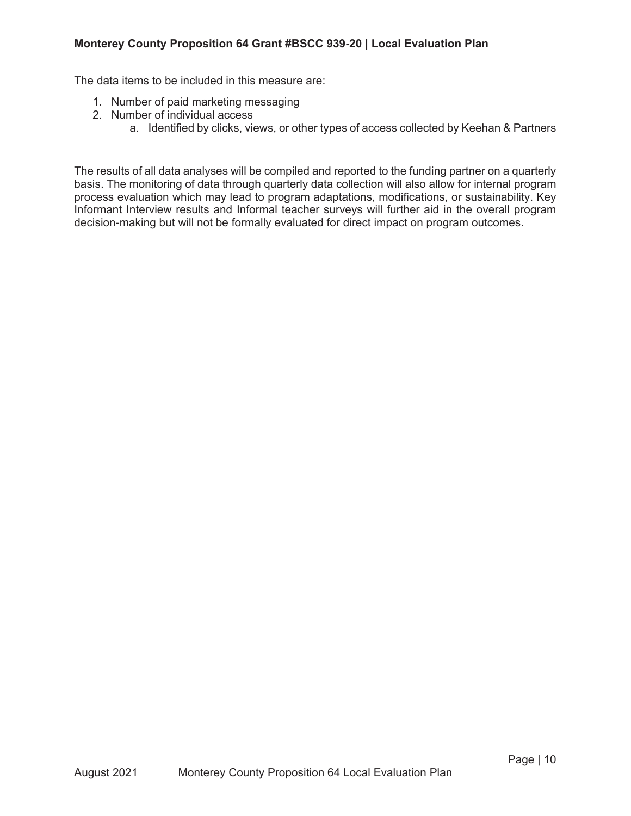The data items to be included in this measure are:

- 1. Number of paid marketing messaging
- 2. Number of individual access
	- a. Identified by clicks, views, or other types of access collected by Keehan & Partners

The results of all data analyses will be compiled and reported to the funding partner on a quarterly basis. The monitoring of data through quarterly data collection will also allow for internal program process evaluation which may lead to program adaptations, modifications, or sustainability. Key Informant Interview results and Informal teacher surveys will further aid in the overall program decision-making but will not be formally evaluated for direct impact on program outcomes.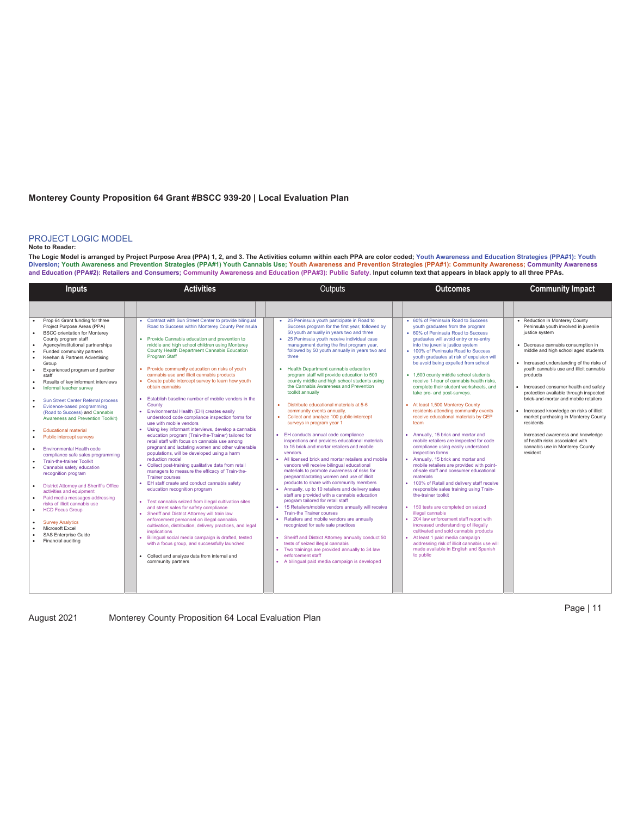#### PROJECT LOGIC MODEL

#### **Note to Reader:**

The Logic Model is arranged by Project Purpose Area (PPA) 1, 2, and 3. The Activities column within each PPA are color coded; Youth Awareness and Education Strategies (PPA#1): Youth<br>Diversion; Youth Awareness and Preventio **and Education (PPA#2): Retailers and Consumers; Community Awareness and Education (PPA#3): Public Safety. Input column text that appears in black apply to all three PPAs.** 

| <b>Inputs</b>                                                                                                                                                                                                                                                                                                                                                                                                                                                                                                                                                                                                                                                                                                                                                                                                                                                                                                                                                                                                            | <b>Activities</b>                                                                                                                                                                                                                                                                                                                                                                                                                                                                                                                                                                                                                                                                                                                                                                                                                                                                                                                                                                                                                                                                                                                                                                                                                                                                                                                                                                                                                                                                                                                                                                                                                | Outputs                                                                                                                                                                                                                                                                                                                                                                                                                                                                                                                                                                                                                                                                                                                                                                                                                                                                                                                                                                                                                                                                                                                                                                                                                                                                                                                                                                                                                                                                                                                                                                                                                             | <b>Outcomes</b>                                                                                                                                                                                                                                                                                                                                                                                                                                                                                                                                                                                                                                                                                                                                                                                                                                                                                                                                                                                                                                                                                                                                                                                                                                                                                                                                               | <b>Community Impact</b>                                                                                                                                                                                                                                                                                                                                                                                                                                                                                                                                                                                                                     |  |  |
|--------------------------------------------------------------------------------------------------------------------------------------------------------------------------------------------------------------------------------------------------------------------------------------------------------------------------------------------------------------------------------------------------------------------------------------------------------------------------------------------------------------------------------------------------------------------------------------------------------------------------------------------------------------------------------------------------------------------------------------------------------------------------------------------------------------------------------------------------------------------------------------------------------------------------------------------------------------------------------------------------------------------------|----------------------------------------------------------------------------------------------------------------------------------------------------------------------------------------------------------------------------------------------------------------------------------------------------------------------------------------------------------------------------------------------------------------------------------------------------------------------------------------------------------------------------------------------------------------------------------------------------------------------------------------------------------------------------------------------------------------------------------------------------------------------------------------------------------------------------------------------------------------------------------------------------------------------------------------------------------------------------------------------------------------------------------------------------------------------------------------------------------------------------------------------------------------------------------------------------------------------------------------------------------------------------------------------------------------------------------------------------------------------------------------------------------------------------------------------------------------------------------------------------------------------------------------------------------------------------------------------------------------------------------|-------------------------------------------------------------------------------------------------------------------------------------------------------------------------------------------------------------------------------------------------------------------------------------------------------------------------------------------------------------------------------------------------------------------------------------------------------------------------------------------------------------------------------------------------------------------------------------------------------------------------------------------------------------------------------------------------------------------------------------------------------------------------------------------------------------------------------------------------------------------------------------------------------------------------------------------------------------------------------------------------------------------------------------------------------------------------------------------------------------------------------------------------------------------------------------------------------------------------------------------------------------------------------------------------------------------------------------------------------------------------------------------------------------------------------------------------------------------------------------------------------------------------------------------------------------------------------------------------------------------------------------|---------------------------------------------------------------------------------------------------------------------------------------------------------------------------------------------------------------------------------------------------------------------------------------------------------------------------------------------------------------------------------------------------------------------------------------------------------------------------------------------------------------------------------------------------------------------------------------------------------------------------------------------------------------------------------------------------------------------------------------------------------------------------------------------------------------------------------------------------------------------------------------------------------------------------------------------------------------------------------------------------------------------------------------------------------------------------------------------------------------------------------------------------------------------------------------------------------------------------------------------------------------------------------------------------------------------------------------------------------------|---------------------------------------------------------------------------------------------------------------------------------------------------------------------------------------------------------------------------------------------------------------------------------------------------------------------------------------------------------------------------------------------------------------------------------------------------------------------------------------------------------------------------------------------------------------------------------------------------------------------------------------------|--|--|
|                                                                                                                                                                                                                                                                                                                                                                                                                                                                                                                                                                                                                                                                                                                                                                                                                                                                                                                                                                                                                          |                                                                                                                                                                                                                                                                                                                                                                                                                                                                                                                                                                                                                                                                                                                                                                                                                                                                                                                                                                                                                                                                                                                                                                                                                                                                                                                                                                                                                                                                                                                                                                                                                                  |                                                                                                                                                                                                                                                                                                                                                                                                                                                                                                                                                                                                                                                                                                                                                                                                                                                                                                                                                                                                                                                                                                                                                                                                                                                                                                                                                                                                                                                                                                                                                                                                                                     |                                                                                                                                                                                                                                                                                                                                                                                                                                                                                                                                                                                                                                                                                                                                                                                                                                                                                                                                                                                                                                                                                                                                                                                                                                                                                                                                                               |                                                                                                                                                                                                                                                                                                                                                                                                                                                                                                                                                                                                                                             |  |  |
| Prop 64 Grant funding for three<br>Project Purpose Areas (PPA)<br><b>BSCC</b> orientation for Monterey<br>County program staff<br>Agency/institutional partnerships<br>٠<br>Funded community partners<br>Keehan & Partners Advertising<br>Group<br>Experienced program and partner<br>staff<br>Results of key informant interviews<br>Informal teacher survey<br><b>Sun Street Center Referral process</b><br>Evidence-based programming<br>(Road to Success) and Cannabis<br><b>Awareness and Prevention Toolkit)</b><br><b>Educational material</b><br>Public intercept surveys<br><b>Environmental Health code</b><br>compliance safe sales programming<br><b>Train-the-trainer Toolkit</b><br>Cannabis safety education<br>recognition program<br>District Attorney and Sheriff's Office<br>activities and equipment<br>Paid media messages addressing<br>risks of illicit cannabis use<br><b>HCD Focus Group</b><br><b>Survey Analytics</b><br>Microsoft Excel<br><b>SAS Enterprise Guide</b><br>Financial auditing | • Contract with Sun Street Center to provide bilingual<br>Road to Success within Monterey County Peninsula<br>• Provide Cannabis education and prevention to<br>middle and high school children using Monterey<br>County Health Department Cannabis Education<br>Program Staff<br>• Provide community education on risks of youth<br>cannabis use and illicit cannabis products<br>• Create public intercept survey to learn how youth<br>obtain cannabis<br>• Establish baseline number of mobile vendors in the<br>County<br>• Environmental Health (EH) creates easily<br>understood code compliance inspection forms for<br>use with mobile vendors<br>• Using key informant interviews, develop a cannabis<br>education program (Train-the-Trainer) tailored for<br>retail staff with focus on cannabis use among<br>pregnant and lactating women and other vulnerable<br>populations, will be developed using a harm<br>reduction model<br>• Collect post-training qualitative data from retail<br>managers to measure the efficacy of Train-the-<br><b>Trainer courses</b><br>• EH staff create and conduct cannabis safety<br>education recognition program<br>• Test cannabis seized from illegal cultivation sites<br>and street sales for safety compliance<br>• Sheriff and District Attorney will train law<br>enforcement personnel on illegal cannabis<br>cultivation, distribution, delivery practices, and legal<br>implications<br>· Bilingual social media campaign is drafted, tested<br>with a focus group, and successfully launched<br>• Collect and analyze data from internal and<br>community partners | 25 Peninsula youth participate in Road to<br>Success program for the first year, followed by<br>50 youth annually in years two and three<br>• 25 Peninsula youth receive individual case<br>management during the first program year,<br>followed by 50 youth annually in years two and<br>three<br>• Health Department cannabis education<br>program staff will provide education to 500<br>county middle and high school students using<br>the Cannabis Awareness and Prevention<br>toolkit annually<br>Distribute educational materials at 5-6<br>$\sim$<br>community events annually.<br>Collect and analyze 100 public intercept<br>$\bullet$<br>surveys in program year 1<br>• EH conducts annual code compliance<br>inspections and provides educational materials<br>to 15 brick and mortar retailers and mobile<br>vendors.<br>• All licensed brick and mortar retailers and mobile<br>vendors will receive bilingual educational<br>materials to promote awareness of risks for<br>pregnant/lactating women and use of illicit<br>products to share with community members<br>• Annually, up to 10 retailers and delivery sales<br>staff are provided with a cannabis education<br>program tailored for retail staff<br>• 15 Retailers/mobile vendors annually will receive<br><b>Train-the Trainer courses</b><br>• Retailers and mobile vendors are annually<br>recognized for safe sale practices<br>• Sheriff and District Attorney annually conduct 50<br>tests of seized illegal cannabis<br>• Two trainings are provided annually to 34 law<br>enforcement staff<br>• A bilingual paid media campaign is developed | • 60% of Peninsula Road to Success<br>youth graduates from the program<br>• 60% of Peninsula Road to Success<br>graduates will avoid entry or re-entry<br>into the juvenile justice system<br>• 100% of Peninsula Road to Success<br>vouth graduates at risk of expulsion will<br>be avoid being expelled from school<br>• 1,500 county middle school students<br>receive 1-hour of cannabis health risks.<br>complete their student worksheets, and<br>take pre- and post-surveys.<br>• At least 1,500 Monterey County<br>residents attending community events<br>receive educational materials by CEP<br>team<br>Annually, 15 brick and mortar and<br>mobile retailers are inspected for code<br>compliance using easily understood<br>inspection forms<br>Annually, 15 brick and mortar and<br>$\bullet$<br>mobile retailers are provided with point-<br>of-sale staff and consumer educational<br>materials<br>• 100% of Retail and delivery staff receive<br>responsible sales training using Train-<br>the-trainer toolkit<br>150 tests are completed on seized<br>illegal cannabis<br>• 204 law enforcement staff report with<br>increased understanding of illegally<br>cultivated and sold cannabis products<br>At least 1 paid media campaign<br>addressing risk of illicit cannabis use will<br>made available in English and Spanish<br>to public | • Reduction in Monterey County<br>Peninsula youth involved in juvenile<br>justice system<br>• Decrease cannabis consumption in<br>middle and high school aged students<br>• Increased understanding of the risks of<br>vouth cannabis use and illicit cannabis<br>products<br>• Increased consumer health and safety<br>protection available through inspected<br>brick-and-mortar and mobile retailers<br>Increased knowledge on risks of illicit<br>$\bullet$<br>market purchasing in Monterey County<br>residents<br>Increased awareness and knowledge<br>of health risks associated with<br>cannabis use in Monterey County<br>resident |  |  |

August 2021 Monterey County Proposition 64 Local Evaluation Plan

Page | 11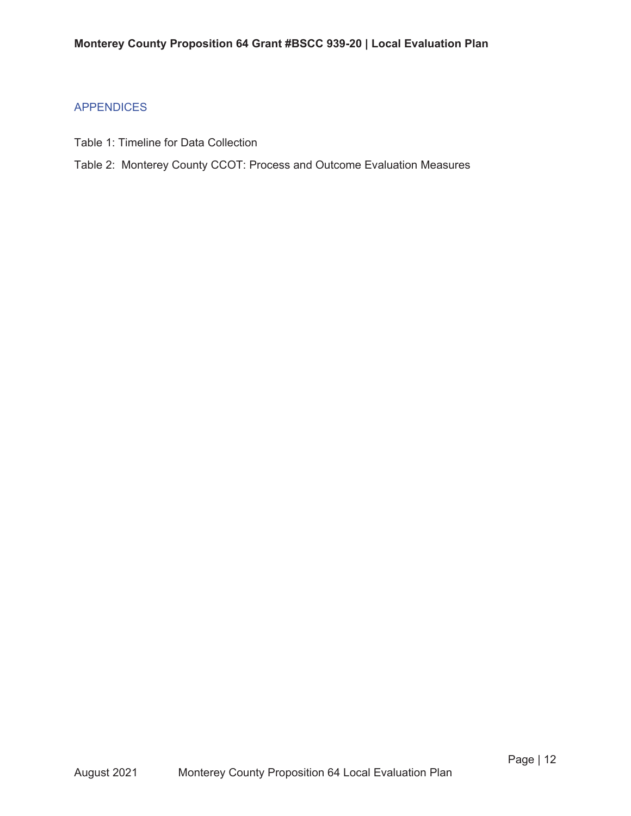# APPENDICES

- Table 1: Timeline for Data Collection
- Table 2: Monterey County CCOT: Process and Outcome Evaluation Measures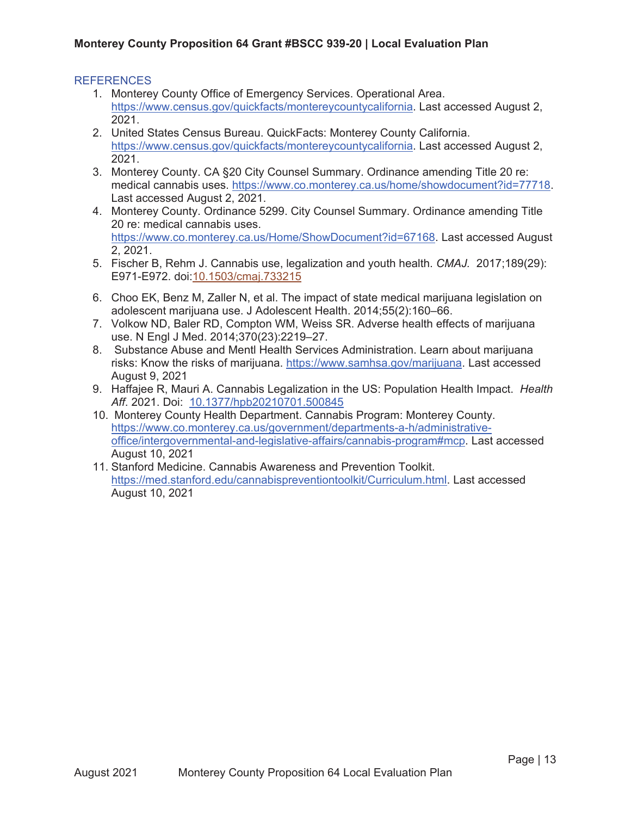## **REFERENCES**

- 1. Monterey County Office of Emergency Services. Operational Area. https://www.census.gov/quickfacts/montereycountycalifornia. Last accessed August 2, 2021.
- 2. United States Census Bureau. QuickFacts: Monterey County California. https://www.census.gov/quickfacts/montereycountycalifornia. Last accessed August 2, 2021.
- 3. Monterey County. CA §20 City Counsel Summary. Ordinance amending Title 20 re: medical cannabis uses. https://www.co.monterey.ca.us/home/showdocument?id=77718. Last accessed August 2, 2021.
- 4. Monterey County. Ordinance 5299. City Counsel Summary. Ordinance amending Title 20 re: medical cannabis uses. https://www.co.monterey.ca.us/Home/ShowDocument?id=67168. Last accessed August 2, 2021.
- 5. Fischer B, Rehm J. Cannabis use, legalization and youth health. *CMAJ.* 2017;189(29): E971-E972. doi:10.1503/cmaj.733215
- 6. Choo EK, Benz M, Zaller N, et al. The impact of state medical marijuana legislation on adolescent marijuana use. J Adolescent Health. 2014;55(2):160–66.
- 7. Volkow ND, Baler RD, Compton WM, Weiss SR. Adverse health effects of marijuana use. N Engl J Med. 2014;370(23):2219–27.
- 8. Substance Abuse and Mentl Health Services Administration. Learn about marijuana risks: Know the risks of marijuana. https://www.samhsa.gov/marijuana. Last accessed August 9, 2021
- 9. Haffajee R, Mauri A. Cannabis Legalization in the US: Population Health Impact. *Health Aff*. 2021. Doi: 10.1377/hpb20210701.500845
- 10. Monterey County Health Department. Cannabis Program: Monterey County. https://www.co.monterey.ca.us/government/departments-a-h/administrativeoffice/intergovernmental-and-legislative-affairs/cannabis-program#mcp. Last accessed August 10, 2021
- 11. Stanford Medicine. Cannabis Awareness and Prevention Toolkit. https://med.stanford.edu/cannabispreventiontoolkit/Curriculum.html. Last accessed August 10, 2021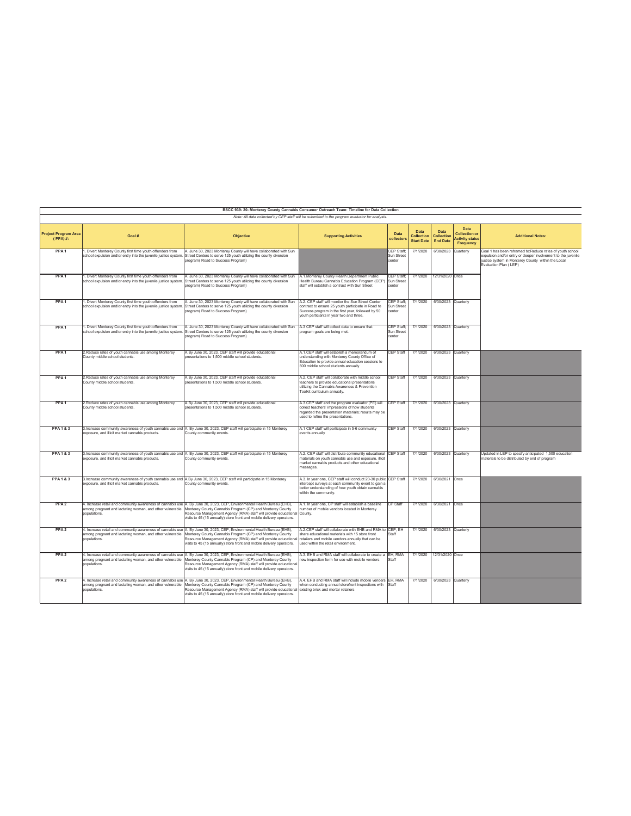| BSCC 939-20- Monterey County Cannabis Consumer Outreach Team: Timeline for Data Collection<br>Note: All data collected by CEP staff will be submitted to the program evaluator for analysis. |                                                                                                                              |                                                                                                                                                                                                                                                                                                                                  |                                                                                                                                                                                                            |                                           |                                         |                                       |                                                                     |                                                                                                                                                                                                         |
|----------------------------------------------------------------------------------------------------------------------------------------------------------------------------------------------|------------------------------------------------------------------------------------------------------------------------------|----------------------------------------------------------------------------------------------------------------------------------------------------------------------------------------------------------------------------------------------------------------------------------------------------------------------------------|------------------------------------------------------------------------------------------------------------------------------------------------------------------------------------------------------------|-------------------------------------------|-----------------------------------------|---------------------------------------|---------------------------------------------------------------------|---------------------------------------------------------------------------------------------------------------------------------------------------------------------------------------------------------|
|                                                                                                                                                                                              |                                                                                                                              |                                                                                                                                                                                                                                                                                                                                  |                                                                                                                                                                                                            |                                           |                                         |                                       |                                                                     |                                                                                                                                                                                                         |
| <b>Project Program Area</b><br>$(PPA)$ #:                                                                                                                                                    | Goal #                                                                                                                       | Objective                                                                                                                                                                                                                                                                                                                        | <b>Supporting Activities</b>                                                                                                                                                                               | Data<br>collectors                        | Data<br>Collection<br><b>Start Date</b> | Data<br>Collection<br><b>End Date</b> | Data<br><b>Collection or</b><br><b>Activity status</b><br>Frequency | <b>Additional Notes:</b>                                                                                                                                                                                |
| PPA <sub>1</sub>                                                                                                                                                                             | 1. Divert Monterey County first time youth offenders from<br>school expulsion and/or entry into the juvenile justice system. | A. June 30, 2023 Monterey County will have collaborated with Sun<br>Street Centers to serve 125 youth utilizing the county diversion<br>program(Road to Success Program)                                                                                                                                                         |                                                                                                                                                                                                            | CEP Staff:<br>Sun Street<br>center        | 7/1/2020                                | 6/30/2023                             | Quarterly                                                           | Goal 1 has been reframed to:Reduce rates of youth school<br>expulsion and/or entry or deeper involvement to the juvenile<br>justice system in Monterey County within the Local<br>Evaluation Plan (LEP) |
| PPA <sub>1</sub>                                                                                                                                                                             | . Divert Monterey County first time youth offenders from<br>school expulsion and/or entry into the juvenile justice systen   | A. June 30, 2023 Monterey County will have collaborated with Sun<br>Street Centers to serve 125 youth utilizing the county diversion<br>program(Road to Success Program)                                                                                                                                                         | A.1. Monterey County Health Department Public<br>Health Bureau Cannabis Education Program (CEP)<br>staff will establish a contract with Sun Street                                                         | CEP Staff:<br>Sun Street<br>center        |                                         | 7/1/2020 12/31/2020 Once              |                                                                     |                                                                                                                                                                                                         |
| PPA <sub>1</sub>                                                                                                                                                                             | 1. Divert Monterey County first time youth offenders from<br>school expulsion and/or entry into the juvenile justice system. | A. June 30, 2023 Monterey County will have collaborated with Sun<br>Street Centers to serve 125 youth utilizing the county diversion<br>program(Road to Success Program)                                                                                                                                                         | A.2. CEP staff will monitor the Sun Street Center<br>contract to ensure 25 youth participate in Road to<br>Success program in the first year, followed by 50<br>vouth particiants in year two and three.   | CEP Staff:<br>Sun Street<br>center        | 7/1/2020                                | 6/30/2023 Quarterly                   |                                                                     |                                                                                                                                                                                                         |
| PPA <sub>1</sub>                                                                                                                                                                             | 1. Divert Monterey County first time youth offenders from<br>school expulsion and/or entry into the juvenile justice system  | A. June 30, 2023 Monterey County will have collaborated with Sun<br>Street Centers to serve 125 youth utilizing the county diversion<br>program(Road to Success Program)                                                                                                                                                         | A.3 CEP staff will collect data to ensure that<br>program goals are being met.                                                                                                                             | CEP Staff:<br><b>Sun Street</b><br>center | 7/1/2020                                | 6/30/2023 Quarterly                   |                                                                     |                                                                                                                                                                                                         |
| PPA <sub>1</sub>                                                                                                                                                                             | 2.Reduce rates of youth cannabis use among Monterey<br>County middle school students.                                        | A.By June 30, 2023, CEP staff will provide educational<br>presentations to 1,500 middle school students.                                                                                                                                                                                                                         | A.1.CEP staff will establish a memorandum of<br>understanding with Monterey County Office of<br>Education to provide annual education sessions to<br>500 middle school students annually                   | <b>CEP Staff</b>                          | 7/1/2020                                | 6/30/2023 Quarterly                   |                                                                     |                                                                                                                                                                                                         |
| PPA <sub>1</sub>                                                                                                                                                                             | 2. Reduce rates of youth cannabis use among Monterey<br>County middle school students.                                       | A.By June 30, 2023, CEP staff will provide educational<br>presentations to 1.500 middle school students.                                                                                                                                                                                                                         | A.2. CEP staff will collaborate with middle school<br>teachers to provide educational presentations<br>utilizing the Cannabis Awareness & Prevention<br>Toolkit curriculum annually.                       | CEP Staff                                 | 7/1/2020                                | 6/30/2023 Quarterly                   |                                                                     |                                                                                                                                                                                                         |
| PPA <sub>1</sub>                                                                                                                                                                             | 2.Reduce rates of youth cannabis use among Monterey<br>County middle school students.                                        | A.By June 30, 2023, CEP staff will provide educational<br>presentations to 1.500 middle school students.                                                                                                                                                                                                                         | A.3.CEP staff and the program evaluator (PE) will<br>collect teachers' impressions of how students<br>regarded the presentation materials; results may be<br>used to refine the presentations.             | CEP Staff                                 | 7/1/2020                                | 6/30/2023 Quarterly                   |                                                                     |                                                                                                                                                                                                         |
| <b>PPA1&amp;3</b>                                                                                                                                                                            | exposure, and illicit market cannabis products.                                                                              | 3. Increase community awareness of youth cannabis use and A. By June 30, 2023, CEP staff will participate in 15 Monterey<br>County community events.                                                                                                                                                                             | A.1 CEP staff will participate in 5-6 community<br>events annually                                                                                                                                         | <b>CEP Staff</b>                          | 7/1/2020                                | 6/30/2023 Quarterly                   |                                                                     |                                                                                                                                                                                                         |
| <b>PPA1&amp;3</b>                                                                                                                                                                            | exposure, and illicit market cannabis products.                                                                              | 3. Increase community awareness of youth cannabis use and A. By June 30, 2023. CEP staff will participate in 15 Monterey<br>County community events.                                                                                                                                                                             | A.2. CEP staff will distribute community educational CEP Staff<br>materials on youth cannabis use and exposure, illicit<br>market cannabis products and other educational<br>messages.                     |                                           | 7/1/2020                                | 6/30/2023 Quarterly                   |                                                                     | Updated in LEP to specify anticipated 1,500 education<br>naterials to be distributed by end of program                                                                                                  |
| <b>PPA1&amp;3</b>                                                                                                                                                                            | exposure, and illicit market cannabis products.                                                                              | 3. Increase community awareness of youth cannabis use and A.By June 30, 2023, CEP staff will participate in 15 Monterey<br>County community events.                                                                                                                                                                              | A.3. In vear one. CEP staff will conduct 20-30 public CEP Staff<br>intercept surveys at each community event to gain a<br>better understanding of how youth obtain cannabis<br>within the community.       |                                           | 7/1/2020                                | 6/30/2021 Once                        |                                                                     |                                                                                                                                                                                                         |
| PPA <sub>2</sub>                                                                                                                                                                             | among pregnant and lactating woman, and other vulnerable<br>populations.                                                     | 4. Increase retail and community awareness of cannabis use A. By June 30, 2023, CEP, Environmental Health Bureau (EHB),<br>Monterey County Cannabis Program (CP) and Monterey County<br>Resource Management Agency (RMA) staff will provide educational<br>visits to 45 (15 annually) store front and mobile delivery operators. | A.1. In year one, CP staff will establish a baseline<br>number of mobile vendors located in Monterey<br>County.                                                                                            | CP Staff                                  | 7/1/2020                                | 6/30/2021 Once                        |                                                                     |                                                                                                                                                                                                         |
| PPA <sub>2</sub>                                                                                                                                                                             | among pregnant and lactating woman, and other vulnerable<br>populations.                                                     | 4. Increase retail and community awareness of cannabis use A. By June 30, 2023, CEP, Environmental Health Bureau (EHB),<br>Monterey County Cannabis Program (CP) and Monterey County<br>Resource Management Agency (RMA) staff will provide educational<br>visits to 45 (15 annually) store front and mobile delivery operators. | A.2.CEP staff will collaborate with EHB and RMA to ICEP. EH<br>share educational materials with 15 store front<br>retailers and mobile vendors annually that can be<br>used within the retail environment. | Staff                                     |                                         | 7/1/2020 6/30/2023 Quarterly          |                                                                     |                                                                                                                                                                                                         |
| PPA <sub>2</sub>                                                                                                                                                                             | among pregnant and lactating woman, and other vulnerable<br>opulations.                                                      | 4. Increase retail and community awareness of cannabis use A. By June 30, 2023, CEP, Environmental Health Bureau (EHB),<br>Monterey County Cannabis Program (CP) and Monterey County<br>Resource Management Agency (RMA) staff will provide educational<br>visits to 45 (15 annually) store front and mobile delivery operators. | A.3. EHB and RMA staff will collaborate to create a EH. RMA<br>new inspection form for use with mobile vendors                                                                                             | Staff                                     |                                         | 7/1/2020 12/31/2020 Once              |                                                                     |                                                                                                                                                                                                         |
| PPA <sub>2</sub>                                                                                                                                                                             | among pregnant and lactating woman, and other vulnerable<br>populations.                                                     | 4. Increase retail and community awareness of cannabis use A. By June 30, 2023, CEP, Environmental Health Bureau (EHB),<br>Monterey County Cannabis Program (CP) and Monterey County<br>Resource Management Agency (RMA) staff will provide educational<br>visits to 45 (15 annually) store front and mobile delivery operators. | A.4. EHB and RMA staff will include mobile venders EH. RMA<br>when conducting annual storefront inspections with<br>existing brick and mortar retailers                                                    | Staff                                     | 7/1/2020                                | 6/30/2023 Quarterly                   |                                                                     |                                                                                                                                                                                                         |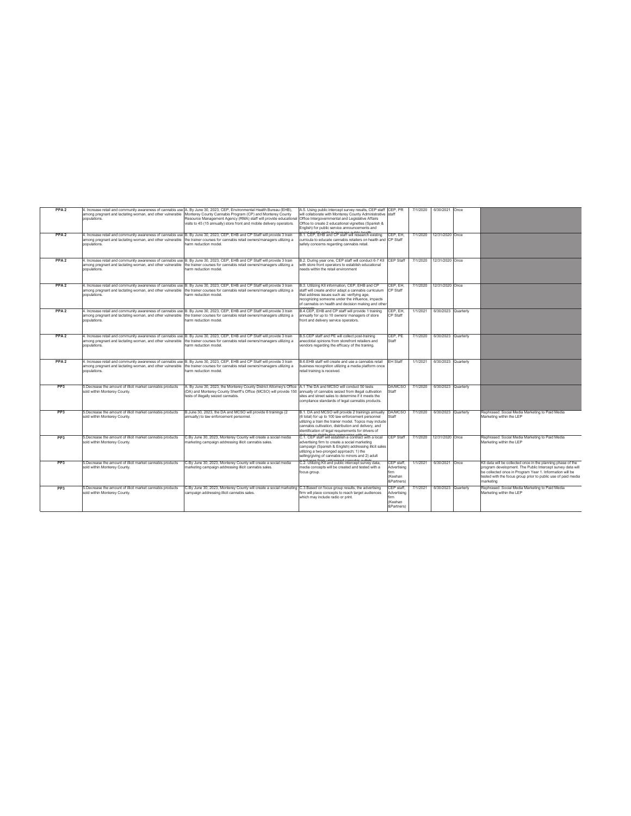| PPA <sub>2</sub> | populations.                                                                              | 4. Increase retail and community awareness of cannabis use A. By June 30, 2023, CEP, Environmental Health Bureau (EHB),<br>among pregnant and lactating woman, and other vulnerable Monterey County Cannabis Program (CP) and Monterey County<br>Resource Management Agency (RMA) staff will provide educational<br>visits to 45 (15 annually) store front and mobile delivery operators. | A.5. Using public intercept survey results. CEP staff CEP. PR<br>will collaborate with Monterey County Administrative staff<br>Office Intergovernmental and Legislative Affairs<br>Office to create 2 educational vignettes (Spanish &<br>English) for public service announcements and   |                                                            | 7/1/2020 | 6/30/2021 Once           |                                                                                                                                                                                                                                                                      |
|------------------|-------------------------------------------------------------------------------------------|-------------------------------------------------------------------------------------------------------------------------------------------------------------------------------------------------------------------------------------------------------------------------------------------------------------------------------------------------------------------------------------------|-------------------------------------------------------------------------------------------------------------------------------------------------------------------------------------------------------------------------------------------------------------------------------------------|------------------------------------------------------------|----------|--------------------------|----------------------------------------------------------------------------------------------------------------------------------------------------------------------------------------------------------------------------------------------------------------------|
| PPA <sub>2</sub> | populations.                                                                              | 4. Increase retail and community awareness of cannabis use B. By June 30, 2023, CEP, EHB and CP Staff will provide 3 train<br>among pregnant and lactating woman, and other vulnerable the trainer courses for cannabis retail owners/managers utilizing a<br>harm reduction model                                                                                                        | B.1. CEP. EHB and CP staff will research existing<br>curricula to educate cannabis retailers on health and CP Staff<br>safety concerns regarding cannabis retail.                                                                                                                         | CEP. EH.                                                   | 7/1/2020 | 12/31/2020 Once          |                                                                                                                                                                                                                                                                      |
| PPA <sub>2</sub> | populations.                                                                              | 4. Increase retail and community awareness of cannabis use B. By June 30, 2023, CEP, EHB and CP Staff will provide 3 train<br>among pregnant and lactating woman, and other vulnerable the trainer courses for cannabis retail owners/managers utilizing a<br>harm reduction model.                                                                                                       | B.2. During year one, CEP staff will conduct 6-7 KII CEP Staff<br>with store front operators to establish educational<br>needs within the retail environment                                                                                                                              |                                                            |          | 7/1/2020 12/31/2020 Once |                                                                                                                                                                                                                                                                      |
| PPA <sub>2</sub> | populations.                                                                              | 4. Increase retail and community awareness of cannabis use B. By June 30, 2023, CEP, EHB and CP Staff will provide 3 train<br>among pregnant and lactating woman, and other vulnerable the trainer courses for cannabis retail owners/managers utilizing a<br>harm reduction model                                                                                                        | B.3. Utilizing KII information, CEP, EHB and CP<br>staff will create and/or adapt a cannabis curriculum<br>that address issues such as: verifying age,<br>recognizing someone under the influence, impacts<br>of cannabis on health and decision making and other                         | CEP. EH.<br>CP Staff                                       | 7/1/2020 | 12/31/2020 Once          |                                                                                                                                                                                                                                                                      |
| PPA <sub>2</sub> | populations.                                                                              | 4. Increase retail and community awareness of cannabis use B. By June 30, 2023, CEP, EHB and CP Staff will provide 3 train<br>among pregnant and lactating woman, and other vulnerable the trainer courses for cannabis retail owners/managers utilizing a<br>harm reduction model                                                                                                        | B.4.CEP. EHB and CP staff will provide 1 training<br>annually for up to 10 owners/ managers of store<br>front and delivery service operators.                                                                                                                                             | <b>CEP EH</b><br>CP Staff                                  | 1/1/2021 | 6/30/2023 Quarterly      |                                                                                                                                                                                                                                                                      |
| PPA <sub>2</sub> | populations.                                                                              | 4. Increase retail and community awareness of cannabis use B. By June 30, 2023, CEP, EHB and CP Staff will provide 3 train<br>among pregnant and lactating woman, and other vulnerable the trainer courses for cannabis retail owners/managers utilizing a<br>harm reduction model                                                                                                        | B.5.CEP staff and PE will collect post-training<br>anecdotal opinions from storefront retailers and<br>vendors regarding the efficacy of the training.                                                                                                                                    | CEP. PE<br>Staff                                           | 7/1/2020 | 6/30/2023 Quarterly      |                                                                                                                                                                                                                                                                      |
| PPA <sub>2</sub> | populations.                                                                              | 4. Increase retail and community awareness of cannabis use B. By June 30, 2023, CEP, EHB and CP Staff will provide 3 train<br>among pregnant and lactating woman, and other vulnerable the trainer courses for cannabis retail owners/managers utilizing a<br>harm reduction model.                                                                                                       | B.6.EHB staff will create and use a cannabis retail<br>business recognition utilizing a media platform once<br>retail training is received.                                                                                                                                               | FH Staff                                                   | 1/1/2021 | 6/30/2023 Quarterly      |                                                                                                                                                                                                                                                                      |
| PP <sub>3</sub>  | 5.Decrease the amount of illicit market cannabis products<br>sold within Monterey County. | A. By June 30, 2023, the Monterey County District Attorney's Office A.1 The DA and MCSO will conduct 50 tests<br>(DA) and Monterey County Sheriff's Office (MCSO) will provide 150 annually of cannabis seized from illegal cultivation<br>tests of illegally seized cannabis.                                                                                                            | sites and street sales to determine if it meets the<br>compliance standards of legal cannabis products.                                                                                                                                                                                   | <b>DA/MCSO</b><br>Staff                                    | 7/1/2020 | 6/30/2023 Quarterly      |                                                                                                                                                                                                                                                                      |
| PP <sub>3</sub>  | 5.Decrease the amount of illicit market cannabis products<br>sold within Monterey County. | B.June 30, 2023, the DA and MCSO will provide 6 trainings (2<br>annually) to law enforcement personnel.                                                                                                                                                                                                                                                                                   | B.1. DA and MCSO will provide 2 trainings annually DA/MCSO<br>(6 total) for up to 100 law enforcement personnel<br>utilizing a train the trainer model. Topics may include<br>cannabis cultivation, distribution and delivery, and<br>identification of legal requirements for drivers of | Staff                                                      | 7/1/2020 | 6/30/2023 Quarterly      | Rephrased: Social Media Marketing to Paid Media<br>Marketing within the LEP                                                                                                                                                                                          |
| PP3              | 5.Decrease the amount of illicit market cannabis products<br>sold within Monterey County. | C.Bv June 30, 2023. Monterey County will create a social media<br>marketing campaign addressing illicit cannabis sales.                                                                                                                                                                                                                                                                   | C.1. CEP staff will establish a contract with a local<br>advertising firm to create a social marketing<br>campaign (Spanish & English) addressing illicit sales<br>utilizing a two-pronged approach: 1) the<br>selling/giving of cannabis to minors and 2) adult                          | CEP Staff                                                  | 7/1/2020 | 12/31/2020 Once          | Rephrased: Social Media Marketing to Paid Media<br>Marketing within the LEP                                                                                                                                                                                          |
| PP <sub>3</sub>  | 5.Decrease the amount of illicit market cannabis products<br>sold within Monterey County. | C.Bv June 30, 2023. Monterey County will create a social media<br>marketing campaign addressing illicit cannabis sales.                                                                                                                                                                                                                                                                   | C.2. Utilizing KII and public intercept survey data.<br>media concepts will be created and tested with a<br>focus group.                                                                                                                                                                  | CEP staff.<br>Advertising<br>firm<br>(Keehan<br>&Partners) | 1/1/2021 | 6/30/2021 Once           | KII data will be collected once in the planning phase of the<br>program development. The Public Intercept survey data will<br>be collected once in Program Year 1. Information will be<br>tested with the focus group prior to public use of paid media<br>marketing |
| PP <sub>3</sub>  | 5.Decrease the amount of illicit market cannabis products<br>sold within Monterey County. | C.By June 30, 2023, Monterey County will create a social marketing C.3.Based on focus group results, the advertising<br>campaign addressing illicit cannabis sales.                                                                                                                                                                                                                       | firm will place concepts to reach target audiences<br>which may include radio or print.                                                                                                                                                                                                   | CEP staff.<br>Advertising<br>'irm<br>(Keehan<br>&Partners) | 7/1/2021 | 6/30/2023 Quarterly      | Rephrased: Social Media Marketing to Paid Media<br>Marketing within the LEP                                                                                                                                                                                          |